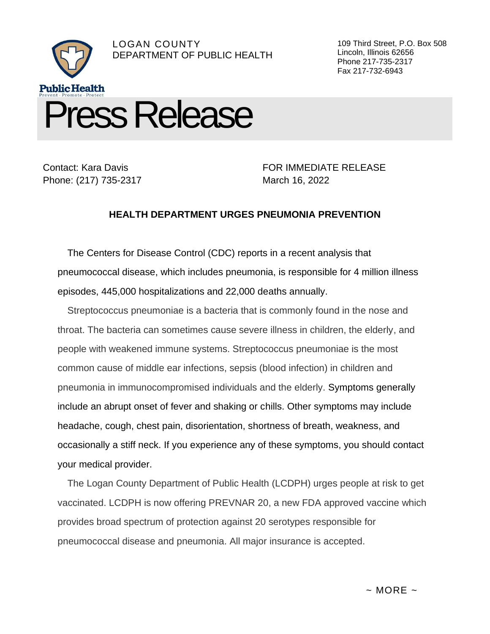

Contact: Kara Davis Phone: (217) 735-2317

FOR IMMEDIATE RELEASE March 16, 2022

109 Third Street, P.O. Box 508

Lincoln, Illinois 62656 Phone 217-735-2317 Fax 217-732-6943

## **HEALTH DEPARTMENT URGES PNEUMONIA PREVENTION**

The Centers for Disease Control (CDC) reports in a recent analysis that pneumococcal disease, which includes pneumonia, is responsible for 4 million illness episodes, 445,000 hospitalizations and 22,000 deaths annually.

Streptococcus pneumoniae is a bacteria that is commonly found in the nose and throat. The bacteria can sometimes cause severe illness in children, the elderly, and people with weakened immune systems. Streptococcus pneumoniae is the most common cause of middle ear infections, sepsis (blood infection) in children and pneumonia in immunocompromised individuals and the elderly. Symptoms generally include an abrupt onset of fever and shaking or chills. Other symptoms may include headache, cough, chest pain, disorientation, shortness of breath, weakness, and occasionally a stiff neck. If you experience any of these symptoms, you should contact your medical provider.

The Logan County Department of Public Health (LCDPH) urges people at risk to get vaccinated. LCDPH is now offering PREVNAR 20, a new FDA approved vaccine which provides broad spectrum of protection against 20 serotypes responsible for pneumococcal disease and pneumonia. All major insurance is accepted.